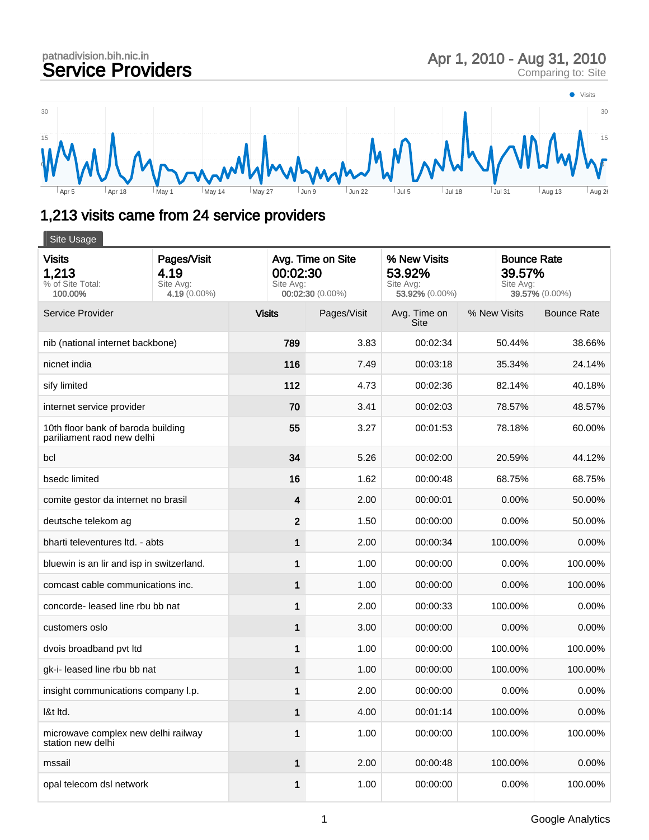## patnadivision.bih.nic.in<br>Service Providers patnadivision.bih.nic.in<br> **Service Providers** Apr 1, 2010 - Aug 31, 2010<br>
Comparing to: Site



## 1,213 visits came from 24 service providers

| Site Usage                                                       |                                                     |                                                                |             |                                                       |              |                                                             |  |  |  |
|------------------------------------------------------------------|-----------------------------------------------------|----------------------------------------------------------------|-------------|-------------------------------------------------------|--------------|-------------------------------------------------------------|--|--|--|
| <b>Visits</b><br>1,213<br>% of Site Total:<br>100.00%            | Pages/Visit<br>4.19<br>Site Avg:<br>4.19 $(0.00\%)$ | Avg. Time on Site<br>00:02:30<br>Site Avg:<br>00:02:30 (0.00%) |             | % New Visits<br>53.92%<br>Site Avg:<br>53.92% (0.00%) |              | <b>Bounce Rate</b><br>39.57%<br>Site Avg:<br>39.57% (0.00%) |  |  |  |
| Service Provider                                                 |                                                     | <b>Visits</b>                                                  | Pages/Visit | Avg. Time on<br>Site                                  | % New Visits | <b>Bounce Rate</b>                                          |  |  |  |
| nib (national internet backbone)                                 |                                                     | 789                                                            | 3.83        | 00:02:34                                              | 50.44%       | 38.66%                                                      |  |  |  |
| nicnet india                                                     |                                                     | 116                                                            | 7.49        | 00:03:18                                              | 35.34%       | 24.14%                                                      |  |  |  |
| sify limited                                                     |                                                     | 112                                                            | 4.73        | 00:02:36                                              | 82.14%       | 40.18%                                                      |  |  |  |
| internet service provider                                        |                                                     | 70                                                             | 3.41        | 00:02:03                                              | 78.57%       | 48.57%                                                      |  |  |  |
| 10th floor bank of baroda building<br>pariliament raod new delhi |                                                     | 55                                                             | 3.27        | 00:01:53                                              | 78.18%       | 60.00%                                                      |  |  |  |
| bcl                                                              |                                                     | 34                                                             | 5.26        | 00:02:00                                              | 20.59%       | 44.12%                                                      |  |  |  |
| bsedc limited                                                    |                                                     | 16                                                             | 1.62        | 00:00:48                                              | 68.75%       | 68.75%                                                      |  |  |  |
| comite gestor da internet no brasil                              |                                                     | 4                                                              | 2.00        | 00:00:01                                              | 0.00%        | 50.00%                                                      |  |  |  |
| deutsche telekom ag                                              |                                                     | $\mathbf{2}$                                                   | 1.50        | 00:00:00                                              | 0.00%        | 50.00%                                                      |  |  |  |
| bharti televentures ltd. - abts                                  |                                                     | 1                                                              | 2.00        | 00:00:34                                              | 100.00%      | 0.00%                                                       |  |  |  |
| bluewin is an lir and isp in switzerland.                        |                                                     | 1                                                              | 1.00        | 00:00:00                                              | 0.00%        | 100.00%                                                     |  |  |  |
| comcast cable communications inc.                                |                                                     | 1                                                              | 1.00        | 00:00:00                                              | 0.00%        | 100.00%                                                     |  |  |  |
| concorde- leased line rbu bb nat                                 |                                                     | 1                                                              | 2.00        | 00:00:33                                              | 100.00%      | 0.00%                                                       |  |  |  |
| customers oslo                                                   |                                                     | 1                                                              | 3.00        | 00:00:00                                              | 0.00%        | 0.00%                                                       |  |  |  |
| dvois broadband pvt ltd                                          |                                                     | 1                                                              | 1.00        | 00:00:00                                              | 100.00%      | 100.00%                                                     |  |  |  |
| gk-i- leased line rbu bb nat                                     |                                                     | 1                                                              | 1.00        | 00:00:00                                              | 100.00%      | 100.00%                                                     |  |  |  |
| insight communications company l.p.                              |                                                     | 1                                                              | 2.00        | 00:00:00                                              | 0.00%        | 0.00%                                                       |  |  |  |
| I&t Itd.                                                         |                                                     | 1                                                              | 4.00        | 00:01:14                                              | 100.00%      | 0.00%                                                       |  |  |  |
| microwave complex new delhi railway<br>station new delhi         |                                                     | 1                                                              | 1.00        | 00:00:00                                              | 100.00%      | 100.00%                                                     |  |  |  |
| mssail                                                           |                                                     | 1                                                              | 2.00        | 00:00:48                                              | 100.00%      | 0.00%                                                       |  |  |  |
| opal telecom dsl network                                         |                                                     | 1                                                              | 1.00        | 00:00:00                                              | 0.00%        | 100.00%                                                     |  |  |  |